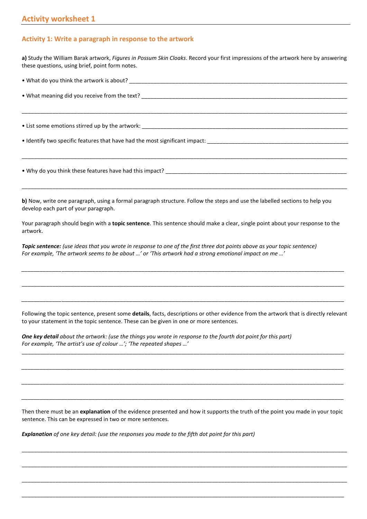## **Activity 1: Write a paragraph in response to the artwork**

**a)** Study the William Barak artwork, *Figures in Possum Skin Cloaks*. Record your first impressions of the artwork here by answering these questions, using brief, point form notes.

**b)** Now, write one paragraph, using a formal paragraph structure. Follow the steps and use the labelled sections to help you develop each part of your paragraph.

\_\_\_\_\_\_\_\_\_\_\_\_\_\_\_\_\_\_\_\_\_\_\_\_\_\_\_\_\_\_\_\_\_\_\_\_\_\_\_\_\_\_\_\_\_\_\_\_\_\_\_\_\_\_\_\_\_\_\_\_\_\_\_\_\_\_\_\_\_\_\_\_\_\_\_\_\_\_\_\_\_\_\_\_\_\_\_\_\_\_\_\_\_\_\_\_\_\_\_\_\_\_\_\_\_\_

Your paragraph should begin with a **topic sentence**. This sentence should make a clear, single point about your response to the artwork.

*\_\_\_\_\_\_\_\_\_\_\_\_\_*\_\_\_\_\_\_\_\_\_\_\_\_\_\_\_\_\_\_\_\_\_\_\_\_\_\_\_\_\_\_\_\_\_\_\_\_\_\_\_\_\_\_\_\_\_\_\_\_\_\_\_\_\_\_\_\_\_\_\_\_\_\_\_\_\_\_\_\_\_\_\_\_\_\_\_\_\_\_\_\_\_\_\_\_\_\_\_\_\_\_\_\_

\_\_\_\_\_\_\_\_\_\_\_\_\_\_\_\_\_\_\_\_\_\_\_\_\_\_\_\_\_\_\_\_\_\_\_\_\_\_\_\_\_\_\_\_\_\_\_\_\_\_\_\_\_\_\_\_\_\_\_\_\_\_\_\_\_\_\_\_\_\_\_\_\_\_\_\_\_\_\_\_\_\_\_\_\_\_\_\_\_\_\_\_\_\_\_\_\_\_\_\_\_\_\_\_\_

*\_\_\_\_\_\_\_\_\_\_\_\_\_*\_\_\_\_\_\_\_\_\_\_\_\_\_\_\_\_\_\_\_\_\_\_\_\_\_\_\_\_\_\_\_\_\_\_\_\_\_\_\_\_\_\_\_\_\_\_\_\_\_\_\_\_\_\_\_\_\_\_\_\_\_\_\_\_\_\_\_\_\_\_\_\_\_\_\_\_\_\_\_\_\_\_\_\_\_\_\_\_\_\_\_\_

*Topic sentence: (use ideas that you wrote in response to one of the first three dot points above as your topic sentence) For example, 'The artwork seems to be about …' or 'This artwork had a strong emotional impact on me …'*

Following the topic sentence, present some **details**, facts, descriptions or other evidence from the artwork that is directly relevant to your statement in the topic sentence. These can be given in one or more sentences.

\_\_\_\_\_\_\_\_\_\_\_\_\_\_\_\_\_\_\_\_\_\_\_\_\_\_\_\_\_\_\_\_\_\_\_\_\_\_\_\_\_\_\_\_\_\_\_\_\_\_\_\_\_\_\_\_\_\_\_\_\_\_\_\_\_\_\_\_\_\_\_\_\_\_\_\_\_\_\_\_\_\_\_\_\_\_\_\_\_\_\_\_\_\_\_\_\_\_\_\_\_\_\_\_\_

*\_\_\_\_\_\_\_\_\_\_\_\_\_\_\_\_\_\_\_\_\_\_\_\_\_\_\_\_\_\_\_\_\_\_\_\_\_\_\_\_\_\_\_\_\_\_\_\_\_\_\_\_\_\_\_\_\_\_\_\_\_\_\_\_\_\_\_\_\_\_\_\_\_\_\_\_\_\_\_\_\_\_\_\_\_\_\_\_\_\_\_\_\_\_\_\_\_\_\_\_\_\_\_\_\_*

*\_\_\_\_\_\_\_\_\_\_\_\_\_\_\_\_\_\_\_\_\_\_\_\_\_\_\_\_\_\_\_\_\_\_\_\_\_\_\_\_\_\_\_\_\_\_\_\_\_\_\_\_\_\_\_\_\_\_\_\_\_\_\_\_\_\_\_\_\_\_\_\_\_\_\_\_\_\_\_\_\_\_\_\_\_\_\_\_\_\_\_\_\_\_\_\_\_\_\_\_\_\_\_\_\_*

*\_\_\_\_\_\_\_\_\_\_\_\_\_\_\_\_\_\_\_\_\_\_\_\_\_\_\_\_\_\_\_\_\_\_\_\_\_\_\_\_\_\_\_\_\_\_\_\_\_\_\_\_\_\_\_\_\_\_\_\_\_\_\_\_\_\_\_\_\_\_\_\_\_\_\_\_\_\_\_\_\_\_\_\_\_\_\_\_\_\_\_\_\_\_\_\_\_\_\_\_\_\_\_\_\_*

*One key detail about the artwork: (use the things you wrote in response to the fourth dot point for this part) For example, 'The artist's use of colour …'; 'The repeated shapes …'*

Then there must be an **explanation** of the evidence presented and how it supports the truth of the point you made in your topic sentence. This can be expressed in two or more sentences.

\_\_\_\_\_\_\_\_\_\_\_\_\_\_\_\_\_\_\_\_\_\_\_\_\_\_\_\_\_\_\_\_\_\_\_\_\_\_\_\_\_\_\_\_\_\_\_\_\_\_\_\_\_\_\_\_\_\_\_\_\_\_\_\_\_\_\_\_\_\_\_\_\_\_\_\_\_\_\_\_\_\_\_\_\_\_\_\_\_\_\_\_\_\_\_\_\_\_\_\_\_\_\_\_\_\_

\_\_\_\_\_\_\_\_\_\_\_\_\_\_\_\_\_\_\_\_\_\_\_\_\_\_\_\_\_\_\_\_\_\_\_\_\_\_\_\_\_\_\_\_\_\_\_\_\_\_\_\_\_\_\_\_\_\_\_\_\_\_\_\_\_\_\_\_\_\_\_\_\_\_\_\_\_\_\_\_\_\_\_\_\_\_\_\_\_\_\_\_\_\_\_\_\_\_\_\_\_\_\_\_\_\_

\_\_\_\_\_\_\_\_\_\_\_\_\_\_\_\_\_\_\_\_\_\_\_\_\_\_\_\_\_\_\_\_\_\_\_\_\_\_\_\_\_\_\_\_\_\_\_\_\_\_\_\_\_\_\_\_\_\_\_\_\_\_\_\_\_\_\_\_\_\_\_\_\_\_\_\_\_\_\_\_\_\_\_\_\_\_\_\_\_\_\_\_\_\_\_\_\_\_\_\_\_\_\_\_\_\_

\_\_\_\_\_\_\_\_\_\_\_\_\_\_\_\_\_\_\_\_\_\_\_\_\_\_\_\_\_\_\_\_\_\_\_\_\_\_\_\_\_\_\_\_\_\_\_\_\_\_\_\_\_\_\_\_\_\_\_\_\_\_\_\_\_\_\_\_\_\_\_\_\_\_\_\_\_\_\_\_\_\_\_\_\_\_\_\_\_\_\_\_\_\_\_\_\_\_\_\_\_\_\_\_\_

*Explanation of one key detail: (use the responses you made to the fifth dot point for this part)*